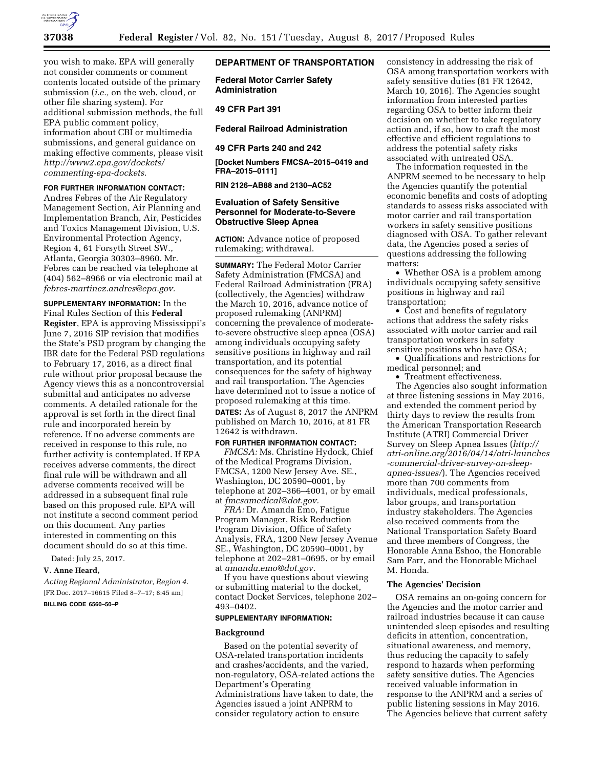

you wish to make. EPA will generally not consider comments or comment contents located outside of the primary submission (*i.e.,* on the web, cloud, or other file sharing system). For additional submission methods, the full EPA public comment policy, information about CBI or multimedia submissions, and general guidance on making effective comments, please visit *[http://www2.epa.gov/dockets/](http://www2.epa.gov/dockets/commenting-epa-dockets)  [commenting-epa-dockets.](http://www2.epa.gov/dockets/commenting-epa-dockets)* 

### **FOR FURTHER INFORMATION CONTACT:**

Andres Febres of the Air Regulatory Management Section, Air Planning and Implementation Branch, Air, Pesticides and Toxics Management Division, U.S. Environmental Protection Agency, Region 4, 61 Forsyth Street SW., Atlanta, Georgia 30303–8960. Mr. Febres can be reached via telephone at (404) 562–8966 or via electronic mail at *[febres-martinez.andres@epa.gov.](mailto:febres-martinez.andres@epa.gov)* 

**SUPPLEMENTARY INFORMATION:** In the Final Rules Section of this **Federal Register**, EPA is approving Mississippi's June 7, 2016 SIP revision that modifies the State's PSD program by changing the IBR date for the Federal PSD regulations to February 17, 2016, as a direct final rule without prior proposal because the Agency views this as a noncontroversial submittal and anticipates no adverse comments. A detailed rationale for the approval is set forth in the direct final rule and incorporated herein by reference. If no adverse comments are received in response to this rule, no further activity is contemplated. If EPA receives adverse comments, the direct final rule will be withdrawn and all adverse comments received will be addressed in a subsequent final rule based on this proposed rule. EPA will not institute a second comment period on this document. Any parties interested in commenting on this document should do so at this time.

Dated: July 25, 2017.

## **V. Anne Heard,**

*Acting Regional Administrator, Region 4.*  [FR Doc. 2017–16615 Filed 8–7–17; 8:45 am]

**BILLING CODE 6560–50–P** 

## **DEPARTMENT OF TRANSPORTATION**

**Federal Motor Carrier Safety Administration** 

### **49 CFR Part 391**

**Federal Railroad Administration** 

#### **49 CFR Parts 240 and 242**

**[Docket Numbers FMCSA–2015–0419 and FRA–2015–0111]** 

**RIN 2126–AB88 and 2130–AC52** 

### **Evaluation of Safety Sensitive Personnel for Moderate-to-Severe Obstructive Sleep Apnea**

**ACTION:** Advance notice of proposed rulemaking; withdrawal.

**SUMMARY:** The Federal Motor Carrier Safety Administration (FMCSA) and Federal Railroad Administration (FRA) (collectively, the Agencies) withdraw the March 10, 2016, advance notice of proposed rulemaking (ANPRM) concerning the prevalence of moderateto-severe obstructive sleep apnea (OSA) among individuals occupying safety sensitive positions in highway and rail transportation, and its potential consequences for the safety of highway and rail transportation. The Agencies have determined not to issue a notice of proposed rulemaking at this time.

**DATES:** As of August 8, 2017 the ANPRM published on March 10, 2016, at 81 FR 12642 is withdrawn.

### **FOR FURTHER INFORMATION CONTACT:**

*FMCSA:* Ms. Christine Hydock, Chief of the Medical Programs Division, FMCSA, 1200 New Jersey Ave. SE., Washington, DC 20590–0001, by telephone at 202–366–4001, or by email at *[fmcsamedical@dot.gov.](mailto:fmcsamedical@dot.gov)* 

*FRA:* Dr. Amanda Emo, Fatigue Program Manager, Risk Reduction Program Division, Office of Safety Analysis, FRA, 1200 New Jersey Avenue SE., Washington, DC 20590–0001, by telephone at 202–281–0695, or by email at *[amanda.emo@dot.gov.](mailto:amanda.emo@dot.gov)* 

If you have questions about viewing or submitting material to the docket, contact Docket Services, telephone 202– 493–0402.

#### **SUPPLEMENTARY INFORMATION:**

#### **Background**

Based on the potential severity of OSA-related transportation incidents and crashes/accidents, and the varied, non-regulatory, OSA-related actions the Department's Operating Administrations have taken to date, the Agencies issued a joint ANPRM to consider regulatory action to ensure

consistency in addressing the risk of OSA among transportation workers with safety sensitive duties (81 FR 12642, March 10, 2016). The Agencies sought information from interested parties regarding OSA to better inform their decision on whether to take regulatory action and, if so, how to craft the most effective and efficient regulations to address the potential safety risks associated with untreated OSA.

The information requested in the ANPRM seemed to be necessary to help the Agencies quantify the potential economic benefits and costs of adopting standards to assess risks associated with motor carrier and rail transportation workers in safety sensitive positions diagnosed with OSA. To gather relevant data, the Agencies posed a series of questions addressing the following matters:

• Whether OSA is a problem among individuals occupying safety sensitive positions in highway and rail transportation;

• Cost and benefits of regulatory actions that address the safety risks associated with motor carrier and rail transportation workers in safety sensitive positions who have OSA;

• Qualifications and restrictions for medical personnel; and

• Treatment effectiveness.

The Agencies also sought information at three listening sessions in May 2016, and extended the comment period by thirty days to review the results from the American Transportation Research Institute (ATRI) Commercial Driver Survey on Sleep Apnea Issues (*[http://](http://atri-online.org/2016/04/14/atri-launches-commercial-driver-survey-on-sleep-apnea-issues/) [atri-online.org/2016/04/14/atri-launches](http://atri-online.org/2016/04/14/atri-launches-commercial-driver-survey-on-sleep-apnea-issues/) [-commercial-driver-survey-on-sleep](http://atri-online.org/2016/04/14/atri-launches-commercial-driver-survey-on-sleep-apnea-issues/)[apnea-issues/](http://atri-online.org/2016/04/14/atri-launches-commercial-driver-survey-on-sleep-apnea-issues/)*). The Agencies received more than 700 comments from individuals, medical professionals, labor groups, and transportation industry stakeholders. The Agencies also received comments from the National Transportation Safety Board and three members of Congress, the Honorable Anna Eshoo, the Honorable Sam Farr, and the Honorable Michael M. Honda.

## **The Agencies' Decision**

OSA remains an on-going concern for the Agencies and the motor carrier and railroad industries because it can cause unintended sleep episodes and resulting deficits in attention, concentration, situational awareness, and memory, thus reducing the capacity to safely respond to hazards when performing safety sensitive duties. The Agencies received valuable information in response to the ANPRM and a series of public listening sessions in May 2016. The Agencies believe that current safety